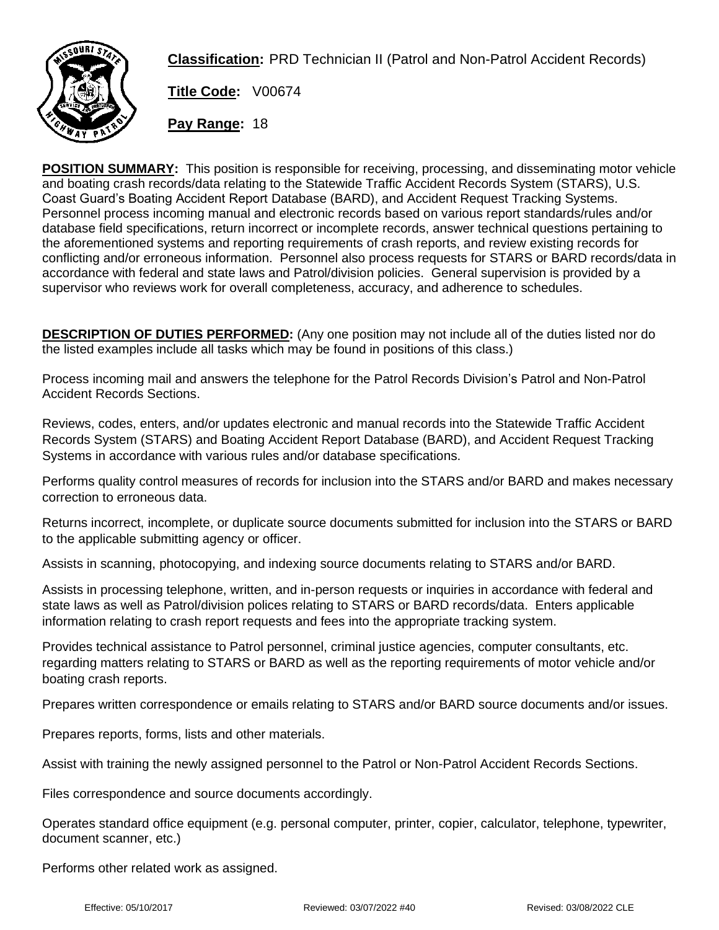

**Classification:** PRD Technician II (Patrol and Non-Patrol Accident Records)

**Title Code:** V00674

**Pay Range:** 18

**POSITION SUMMARY:** This position is responsible for receiving, processing, and disseminating motor vehicle and boating crash records/data relating to the Statewide Traffic Accident Records System (STARS), U.S. Coast Guard's Boating Accident Report Database (BARD), and Accident Request Tracking Systems. Personnel process incoming manual and electronic records based on various report standards/rules and/or database field specifications, return incorrect or incomplete records, answer technical questions pertaining to the aforementioned systems and reporting requirements of crash reports, and review existing records for conflicting and/or erroneous information. Personnel also process requests for STARS or BARD records/data in accordance with federal and state laws and Patrol/division policies. General supervision is provided by a supervisor who reviews work for overall completeness, accuracy, and adherence to schedules.

**DESCRIPTION OF DUTIES PERFORMED:** (Any one position may not include all of the duties listed nor do the listed examples include all tasks which may be found in positions of this class.)

Process incoming mail and answers the telephone for the Patrol Records Division's Patrol and Non-Patrol Accident Records Sections.

Reviews, codes, enters, and/or updates electronic and manual records into the Statewide Traffic Accident Records System (STARS) and Boating Accident Report Database (BARD), and Accident Request Tracking Systems in accordance with various rules and/or database specifications.

Performs quality control measures of records for inclusion into the STARS and/or BARD and makes necessary correction to erroneous data.

Returns incorrect, incomplete, or duplicate source documents submitted for inclusion into the STARS or BARD to the applicable submitting agency or officer.

Assists in scanning, photocopying, and indexing source documents relating to STARS and/or BARD.

Assists in processing telephone, written, and in-person requests or inquiries in accordance with federal and state laws as well as Patrol/division polices relating to STARS or BARD records/data. Enters applicable information relating to crash report requests and fees into the appropriate tracking system.

Provides technical assistance to Patrol personnel, criminal justice agencies, computer consultants, etc. regarding matters relating to STARS or BARD as well as the reporting requirements of motor vehicle and/or boating crash reports.

Prepares written correspondence or emails relating to STARS and/or BARD source documents and/or issues.

Prepares reports, forms, lists and other materials.

Assist with training the newly assigned personnel to the Patrol or Non-Patrol Accident Records Sections.

Files correspondence and source documents accordingly.

Operates standard office equipment (e.g. personal computer, printer, copier, calculator, telephone, typewriter, document scanner, etc.)

Performs other related work as assigned.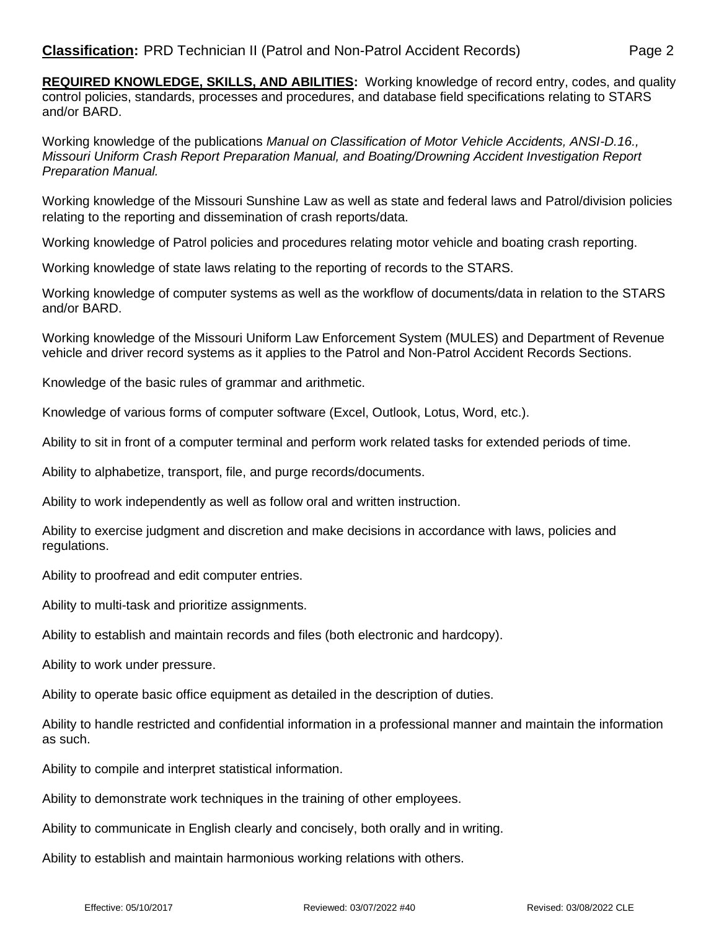**REQUIRED KNOWLEDGE, SKILLS, AND ABILITIES:** Working knowledge of record entry, codes, and quality control policies, standards, processes and procedures, and database field specifications relating to STARS and/or BARD.

Working knowledge of the publications *Manual on Classification of Motor Vehicle Accidents, ANSI-D.16., Missouri Uniform Crash Report Preparation Manual, and Boating/Drowning Accident Investigation Report Preparation Manual.*

Working knowledge of the Missouri Sunshine Law as well as state and federal laws and Patrol/division policies relating to the reporting and dissemination of crash reports/data.

Working knowledge of Patrol policies and procedures relating motor vehicle and boating crash reporting.

Working knowledge of state laws relating to the reporting of records to the STARS.

Working knowledge of computer systems as well as the workflow of documents/data in relation to the STARS and/or BARD.

Working knowledge of the Missouri Uniform Law Enforcement System (MULES) and Department of Revenue vehicle and driver record systems as it applies to the Patrol and Non-Patrol Accident Records Sections.

Knowledge of the basic rules of grammar and arithmetic.

Knowledge of various forms of computer software (Excel, Outlook, Lotus, Word, etc.).

Ability to sit in front of a computer terminal and perform work related tasks for extended periods of time.

Ability to alphabetize, transport, file, and purge records/documents.

Ability to work independently as well as follow oral and written instruction.

Ability to exercise judgment and discretion and make decisions in accordance with laws, policies and regulations.

Ability to proofread and edit computer entries.

Ability to multi-task and prioritize assignments.

Ability to establish and maintain records and files (both electronic and hardcopy).

Ability to work under pressure.

Ability to operate basic office equipment as detailed in the description of duties.

Ability to handle restricted and confidential information in a professional manner and maintain the information as such.

Ability to compile and interpret statistical information.

Ability to demonstrate work techniques in the training of other employees.

Ability to communicate in English clearly and concisely, both orally and in writing.

Ability to establish and maintain harmonious working relations with others.